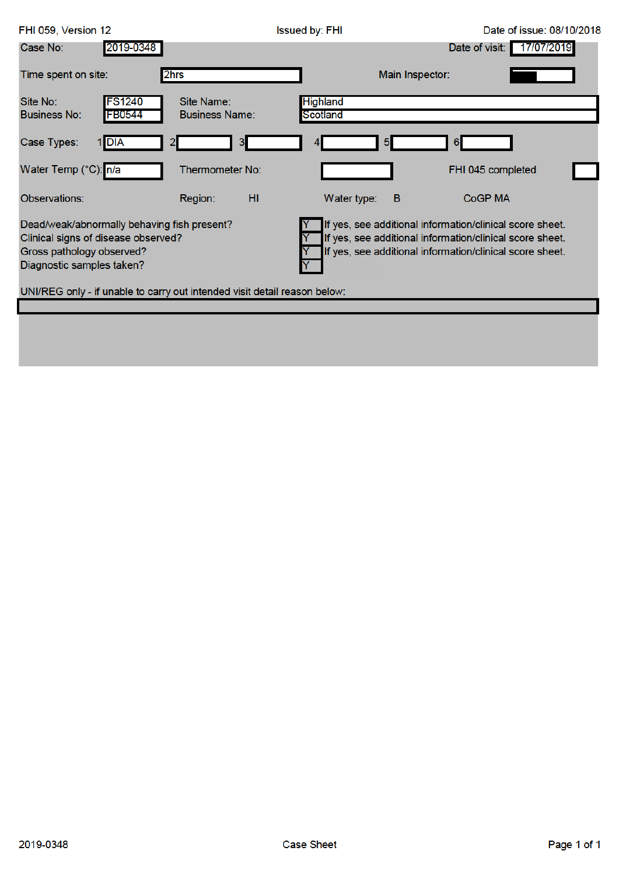| FHI 059, Version 12                                                                                                                          |                                     | <b>Issued by: FHI</b>       | Date of issue: 08/10/2018                                                                                                                                                        |
|----------------------------------------------------------------------------------------------------------------------------------------------|-------------------------------------|-----------------------------|----------------------------------------------------------------------------------------------------------------------------------------------------------------------------------|
| 2019-0348<br>Case No:                                                                                                                        |                                     |                             | 17/07/2019<br>Date of visit:                                                                                                                                                     |
| Time spent on site:                                                                                                                          | 2hrs                                | Main Inspector:             |                                                                                                                                                                                  |
| Site No:<br><b>FS1240</b><br><b>Business No:</b><br><b>FB0544</b>                                                                            | Site Name:<br><b>Business Name:</b> | <b>Highland</b><br>Scotland |                                                                                                                                                                                  |
| 1 DIA<br>Case Types:                                                                                                                         | 3                                   | $\overline{5}$<br>4         | 6                                                                                                                                                                                |
| Water Temp (°C): n/a                                                                                                                         | <b>Thermometer No:</b>              |                             | FHI 045 completed                                                                                                                                                                |
| Observations:                                                                                                                                | H <sub>II</sub><br>Region:          | Water type:<br>B            | <b>CoGP MA</b>                                                                                                                                                                   |
| Dead/weak/abnormally behaving fish present?<br>Clinical signs of disease observed?<br>Gross pathology observed?<br>Diagnostic samples taken? |                                     |                             | If yes, see additional information/clinical score sheet.<br>If yes, see additional information/clinical score sheet.<br>If yes, see additional information/clinical score sheet. |
| UNI/REG only - if unable to carry out intended visit detail reason below:                                                                    |                                     |                             |                                                                                                                                                                                  |
|                                                                                                                                              |                                     |                             |                                                                                                                                                                                  |
|                                                                                                                                              |                                     |                             |                                                                                                                                                                                  |
|                                                                                                                                              |                                     |                             |                                                                                                                                                                                  |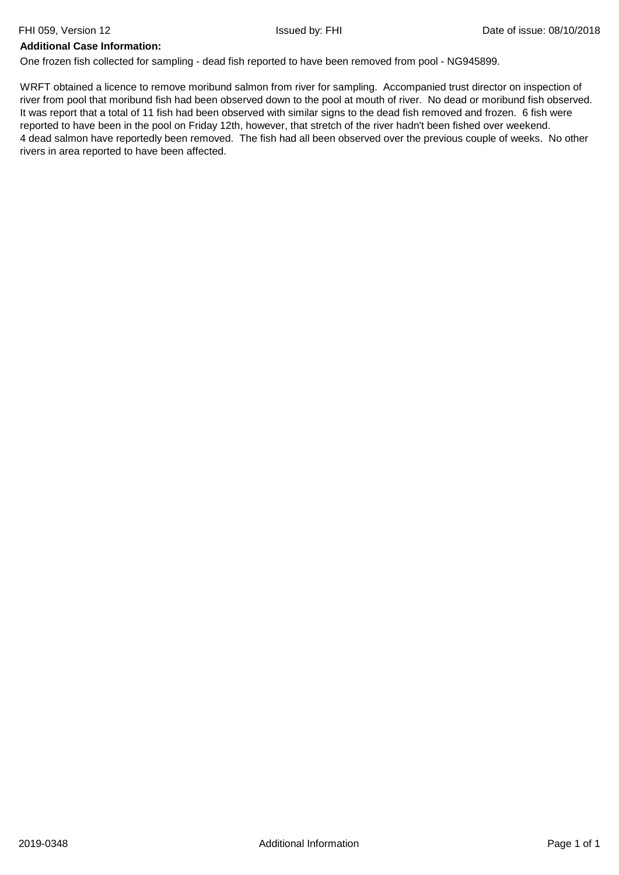## **Additional Case Information:**

One frozen fish collected for sampling - dead fish reported to have been removed from pool - NG945899.

WRFT obtained a licence to remove moribund salmon from river for sampling. Accompanied trust director on inspection of river from pool that moribund fish had been observed down to the pool at mouth of river. No dead or moribund fish observed. It was report that a total of 11 fish had been observed with similar signs to the dead fish removed and frozen. 6 fish were reported to have been in the pool on Friday 12th, however, that stretch of the river hadn't been fished over weekend. 4 dead salmon have reportedly been removed. The fish had all been observed over the previous couple of weeks. No other rivers in area reported to have been affected.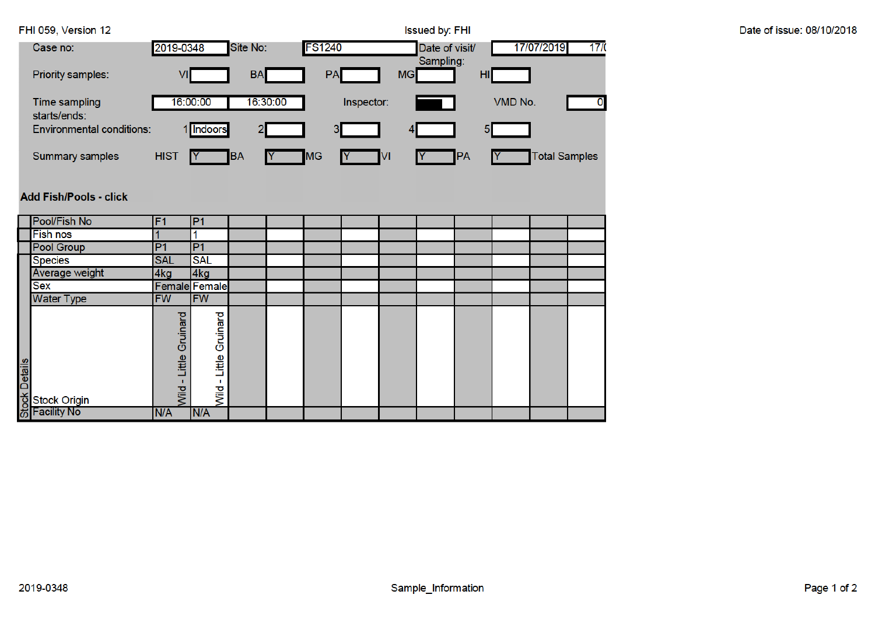|                      | FHI 059, Version 12                       |                               |                             |           |          |               |            |           | <b>Issued by: FHI</b>       |           |         |                      |                 |
|----------------------|-------------------------------------------|-------------------------------|-----------------------------|-----------|----------|---------------|------------|-----------|-----------------------------|-----------|---------|----------------------|-----------------|
|                      | Case no:                                  | 2019-0348                     |                             | Site No:  |          | <b>FS1240</b> |            |           | Date of visit/<br>Sampling: |           |         | 17/07/2019           | 17 <sub>1</sub> |
|                      | Priority samples:                         |                               |                             | <b>BA</b> |          | PA            |            | <b>MG</b> |                             | HI        |         |                      |                 |
|                      | Time sampling<br>starts/ends:             |                               | 16:00:00                    |           | 16:30:00 |               | Inspector: |           |                             |           | VMD No. |                      |                 |
|                      | <b>Environmental conditions:</b>          |                               | 1 Indoors                   |           |          | 3             |            |           |                             | 5         |         |                      |                 |
|                      | Summary samples                           | <b>HIST</b>                   |                             | <b>BA</b> | Y        | <b>MG</b>     |            | VI        |                             | <b>PA</b> |         | <b>Total Samples</b> |                 |
|                      | <b>Add Fish/Pools - click</b>             |                               |                             |           |          |               |            |           |                             |           |         |                      |                 |
|                      | Pool/Fish No                              | F <sub>1</sub>                | P <sub>1</sub>              |           |          |               |            |           |                             |           |         |                      |                 |
|                      | <b>Fish nos</b>                           |                               | 1                           |           |          |               |            |           |                             |           |         |                      |                 |
|                      | Pool Group                                | P <sub>1</sub>                | P <sub>1</sub>              |           |          |               |            |           |                             |           |         |                      |                 |
|                      | <b>Species</b>                            | <b>SAL</b>                    | <b>SAL</b>                  |           |          |               |            |           |                             |           |         |                      |                 |
|                      | Average weight                            | 4kg                           | 4kg                         |           |          |               |            |           |                             |           |         |                      |                 |
|                      | <b>Sex</b>                                |                               | <b>Female</b> Female        |           |          |               |            |           |                             |           |         |                      |                 |
|                      | <b>Water Type</b>                         | <b>FW</b>                     | <b>FW</b>                   |           |          |               |            |           |                             |           |         |                      |                 |
| <b>Stock Details</b> | <b>Stock Origin</b><br><b>Facility No</b> | <b>Wild - Little Gruinard</b> | Gruinard<br>Little<br>Wild- |           |          |               |            |           |                             |           |         |                      |                 |
|                      |                                           | N/A                           | N/A                         |           |          |               |            |           |                             |           |         |                      |                 |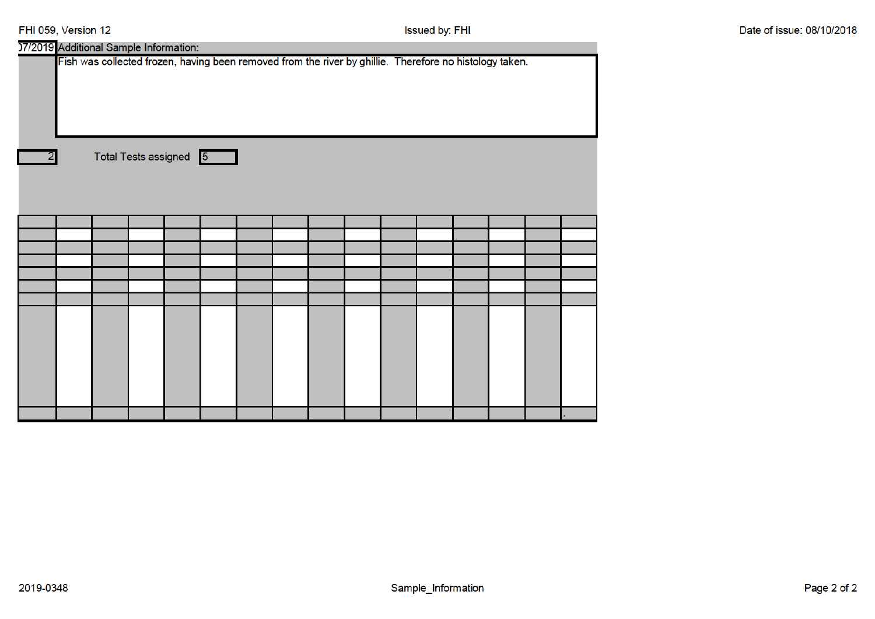| 07/2019 Additional Sample Information:                                                                  |                        |  |  |  |  |  |  |  |  |  |  |  |
|---------------------------------------------------------------------------------------------------------|------------------------|--|--|--|--|--|--|--|--|--|--|--|
| Fish was collected frozen, having been removed from the river by ghillie. Therefore no histology taken. |                        |  |  |  |  |  |  |  |  |  |  |  |
|                                                                                                         | Total Tests assigned 5 |  |  |  |  |  |  |  |  |  |  |  |
|                                                                                                         |                        |  |  |  |  |  |  |  |  |  |  |  |
|                                                                                                         |                        |  |  |  |  |  |  |  |  |  |  |  |
|                                                                                                         |                        |  |  |  |  |  |  |  |  |  |  |  |
|                                                                                                         |                        |  |  |  |  |  |  |  |  |  |  |  |
|                                                                                                         |                        |  |  |  |  |  |  |  |  |  |  |  |
|                                                                                                         |                        |  |  |  |  |  |  |  |  |  |  |  |
|                                                                                                         |                        |  |  |  |  |  |  |  |  |  |  |  |
|                                                                                                         |                        |  |  |  |  |  |  |  |  |  |  |  |
|                                                                                                         |                        |  |  |  |  |  |  |  |  |  |  |  |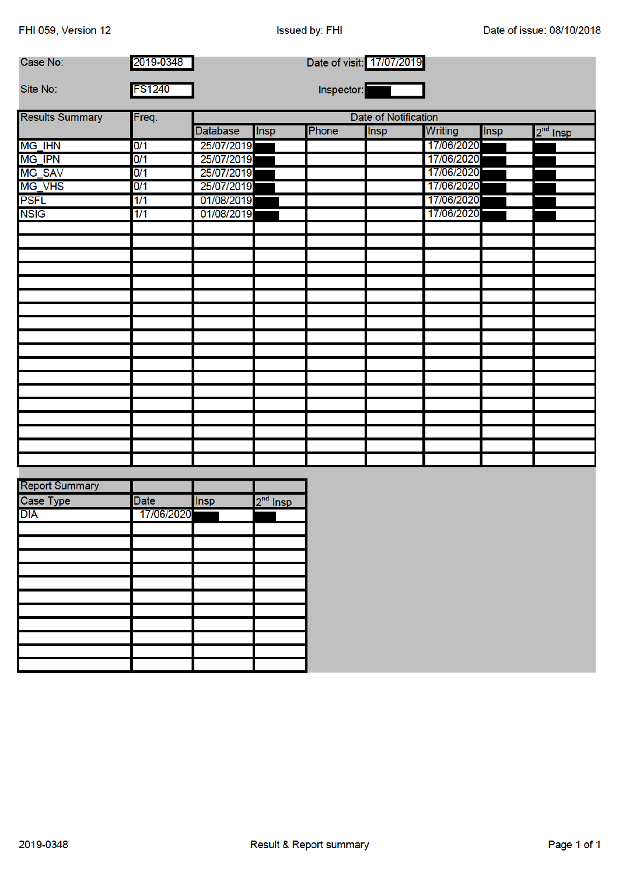FHI 059, Version 12

| Case No:               | 2019-0348     | Date of visit: 17/07/2019 |            |       |      |            |      |            |  |  |
|------------------------|---------------|---------------------------|------------|-------|------|------------|------|------------|--|--|
| Site No:               | <b>FS1240</b> | Inspector:                |            |       |      |            |      |            |  |  |
| <b>Results Summary</b> | Freq.         | Date of Notification      |            |       |      |            |      |            |  |  |
|                        |               | <b>Database</b>           | Insp       | Phone | Insp | Writing    | Insp | $2nd$ Insp |  |  |
| MG_IHN<br>MG_IPN       | 0/1           | 25/07/2019                |            |       |      | 17/06/2020 |      |            |  |  |
|                        | 0/1           | 25/07/2019                |            |       |      | 17/06/2020 |      |            |  |  |
| MG_SAV                 | 0/1           | 25/07/2019                |            |       |      | 17/06/2020 |      |            |  |  |
| MG_VHS                 | 0/1           | 25/07/2019                |            |       |      | 17/06/2020 |      |            |  |  |
| <b>PSFL</b>            | 1/1           | 01/08/2019                |            |       |      | 17/06/2020 |      |            |  |  |
| <b>NSIG</b>            | 1/1           | 01/08/2019                |            |       |      | 17/06/2020 |      |            |  |  |
|                        |               |                           |            |       |      |            |      |            |  |  |
|                        |               |                           |            |       |      |            |      |            |  |  |
|                        |               |                           |            |       |      |            |      |            |  |  |
|                        |               |                           |            |       |      |            |      |            |  |  |
|                        |               |                           |            |       |      |            |      |            |  |  |
|                        |               |                           |            |       |      |            |      |            |  |  |
|                        |               |                           |            |       |      |            |      |            |  |  |
|                        |               |                           |            |       |      |            |      |            |  |  |
|                        |               |                           |            |       |      |            |      |            |  |  |
|                        |               |                           |            |       |      |            |      |            |  |  |
|                        |               |                           |            |       |      |            |      |            |  |  |
|                        |               |                           |            |       |      |            |      |            |  |  |
|                        |               |                           |            |       |      |            |      |            |  |  |
|                        |               |                           |            |       |      |            |      |            |  |  |
|                        |               |                           |            |       |      |            |      |            |  |  |
|                        |               |                           |            |       |      |            |      |            |  |  |
|                        |               |                           |            |       |      |            |      |            |  |  |
|                        |               |                           |            |       |      |            |      |            |  |  |
|                        |               |                           |            |       |      |            |      |            |  |  |
| <b>Report Summary</b>  |               |                           |            |       |      |            |      |            |  |  |
| Case Type<br>DIA       | Date          | Insp                      | $2nd$ Insp |       |      |            |      |            |  |  |
|                        | 17/06/2020    |                           |            |       |      |            |      |            |  |  |
|                        |               |                           |            |       |      |            |      |            |  |  |
|                        |               |                           |            |       |      |            |      |            |  |  |
|                        |               |                           |            |       |      |            |      |            |  |  |
|                        |               |                           |            |       |      |            |      |            |  |  |
|                        |               |                           |            |       |      |            |      |            |  |  |
|                        |               |                           |            |       |      |            |      |            |  |  |
|                        |               |                           |            |       |      |            |      |            |  |  |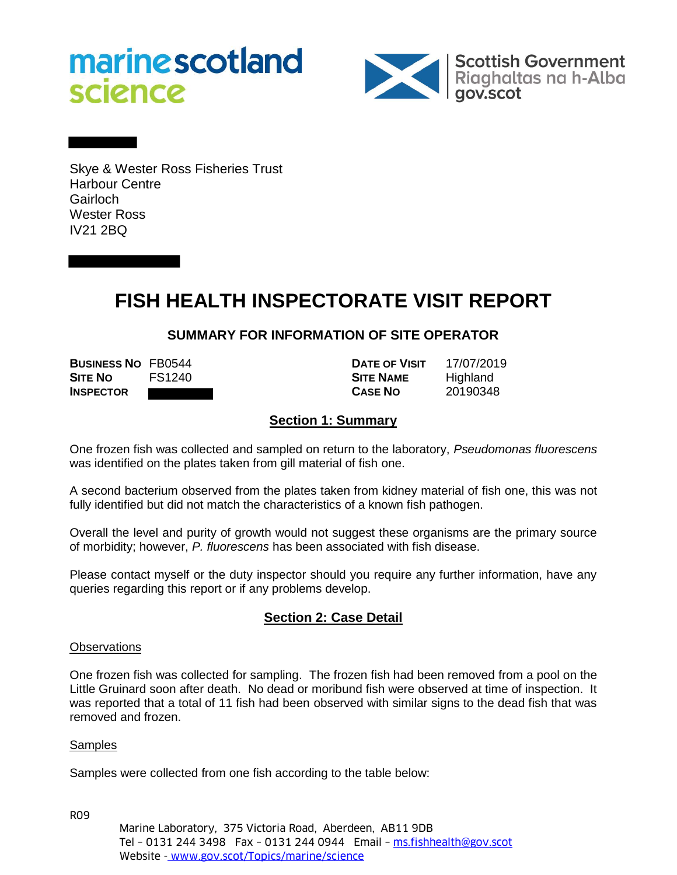# **marinescotland** science



Skye & Wester Ross Fisheries Trust Harbour Centre Gairloch Wester Ross IV21 2BQ

**FISH HEALTH INSPECTORATE VISIT REPORT**

## **SUMMARY FOR INFORMATION OF SITE OPERATOR**

**BUSINESS NO** FB0544 **DATE OF VISIT** 17/07/2019 **SITE NO** FS1240 **SITE NAME** Highland **INSPECTOR CASE NO** 20190348

## **Section 1: Summary**

One frozen fish was collected and sampled on return to the laboratory, *Pseudomonas fluorescens* was identified on the plates taken from gill material of fish one.

A second bacterium observed from the plates taken from kidney material of fish one, this was not fully identified but did not match the characteristics of a known fish pathogen.

Overall the level and purity of growth would not suggest these organisms are the primary source of morbidity; however, *P. fluorescens* has been associated with fish disease.

Please contact myself or the duty inspector should you require any further information, have any queries regarding this report or if any problems develop.

## **Section 2: Case Detail**

## **Observations**

One frozen fish was collected for sampling. The frozen fish had been removed from a pool on the Little Gruinard soon after death. No dead or moribund fish were observed at time of inspection. It was reported that a total of 11 fish had been observed with similar signs to the dead fish that was removed and frozen.

## **Samples**

Samples were collected from one fish according to the table below:

R09